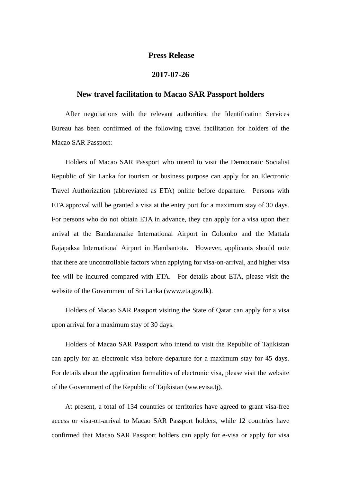## **Press Release**

## **2017-07-26**

## **New travel facilitation to Macao SAR Passport holders**

After negotiations with the relevant authorities, the Identification Services Bureau has been confirmed of the following travel facilitation for holders of the Macao SAR Passport:

Holders of Macao SAR Passport who intend to visit the Democratic Socialist Republic of Sir Lanka for tourism or business purpose can apply for an Electronic Travel Authorization (abbreviated as ETA) online before departure. Persons with ETA approval will be granted a visa at the entry port for a maximum stay of 30 days. For persons who do not obtain ETA in advance, they can apply for a visa upon their arrival at the Bandaranaike International Airport in Colombo and the Mattala Rajapaksa International Airport in Hambantota. However, applicants should note that there are uncontrollable factors when applying for visa-on-arrival, and higher visa fee will be incurred compared with ETA. For details about ETA, please visit the website of the Government of Sri Lanka (www.eta.gov.lk).

Holders of Macao SAR Passport visiting the State of Qatar can apply for a visa upon arrival for a maximum stay of 30 days.

Holders of Macao SAR Passport who intend to visit the Republic of Tajikistan can apply for an electronic visa before departure for a maximum stay for 45 days. For details about the application formalities of electronic visa, please visit the website of the Government of the Republic of Tajikistan (ww.evisa.tj).

At present, a total of 134 countries or territories have agreed to grant visa-free access or visa-on-arrival to Macao SAR Passport holders, while 12 countries have confirmed that Macao SAR Passport holders can apply for e-visa or apply for visa